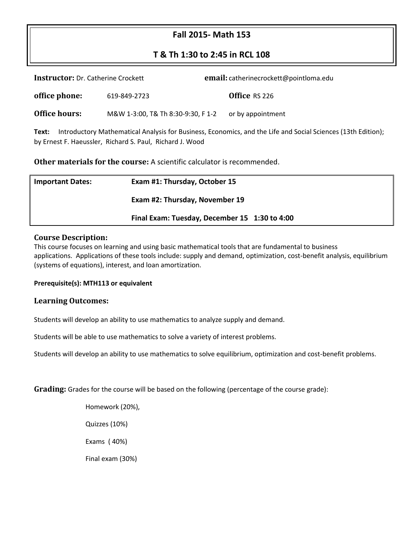# **Fall 2015- Math 153**

# **T & Th 1:30 to 2:45 in RCL 108**

| <b>Instructor:</b> Dr. Catherine Crockett                                                                                                                                         |                                    | email: catherinecrockett@pointloma.edu |  |  |  |  |
|-----------------------------------------------------------------------------------------------------------------------------------------------------------------------------------|------------------------------------|----------------------------------------|--|--|--|--|
| office phone:                                                                                                                                                                     | 619-849-2723                       | Office RS 226                          |  |  |  |  |
| Office hours:                                                                                                                                                                     | M&W 1-3:00, T& Th 8:30-9:30, F 1-2 | or by appointment                      |  |  |  |  |
| Introductory Mathematical Analysis for Business, Economics, and the Life and Social Sciences (13th Edition);<br>Text:<br>by Ernest F. Haeussler, Richard S. Paul, Richard J. Wood |                                    |                                        |  |  |  |  |

**Other materials for the course:** A scientific calculator is recommended.

| <b>Important Dates:</b> | Exam #1: Thursday, October 15                 |  |
|-------------------------|-----------------------------------------------|--|
|                         | Exam #2: Thursday, November 19                |  |
|                         | Final Exam: Tuesday, December 15 1:30 to 4:00 |  |

#### **Course Description:**

This course focuses on learning and using basic mathematical tools that are fundamental to business applications. Applications of these tools include: supply and demand, optimization, cost-benefit analysis, equilibrium (systems of equations), interest, and loan amortization.

#### **Prerequisite(s): MTH113 or equivalent**

#### **Learning Outcomes:**

Students will develop an ability to use mathematics to analyze supply and demand.

Students will be able to use mathematics to solve a variety of interest problems.

Students will develop an ability to use mathematics to solve equilibrium, optimization and cost-benefit problems.

**Grading:** Grades for the course will be based on the following (percentage of the course grade):

Homework (20%),

Quizzes (10%)

Exams ( 40%)

Final exam (30%)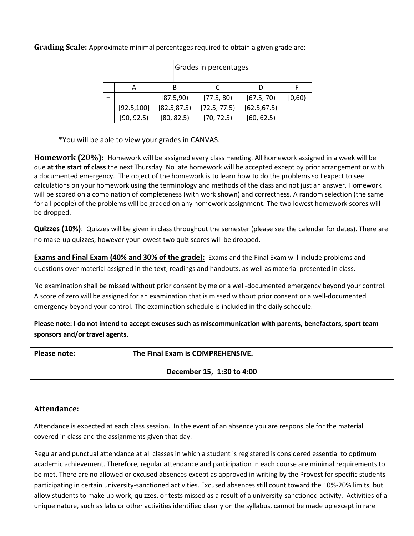**Grading Scale:** Approximate minimal percentages required to obtain a given grade are:

|             |              | $5.8855$ pc. co. $0.855$ |              |        |
|-------------|--------------|--------------------------|--------------|--------|
|             |              |                          |              |        |
|             | [87.5,90]    | [77.5, 80]               | [67.5, 70]   | [0,60) |
| [92.5, 100] | [82.5, 87.5] | [72.5, 77.5]             | [62.5, 67.5] |        |
| [90, 92.5]  | [80, 82.5]   | [70, 72.5]               | [60, 62.5]   |        |

Grades in percentages

\*You will be able to view your grades in CANVAS.

**Homework (20%):** Homework will be assigned every class meeting. All homework assigned in a week will be due **at the start of class** the next Thursday. No late homework will be accepted except by prior arrangement or with a documented emergency. The object of the homework is to learn how to do the problems so I expect to see calculations on your homework using the terminology and methods of the class and not just an answer. Homework will be scored on a combination of completeness (with work shown) and correctness. A random selection (the same for all people) of the problems will be graded on any homework assignment. The two lowest homework scores will be dropped.

**Quizzes (10%)**: Quizzes will be given in class throughout the semester (please see the calendar for dates). There are no make-up quizzes; however your lowest two quiz scores will be dropped.

**Exams and Final Exam (40% and 30% of the grade):** Exams and the Final Exam will include problems and questions over material assigned in the text, readings and handouts, as well as material presented in class.

No examination shall be missed without prior consent by me or a well-documented emergency beyond your control. A score of zero will be assigned for an examination that is missed without prior consent or a well-documented emergency beyond your control. The examination schedule is included in the daily schedule.

**Please note: I do not intend to accept excuses such as miscommunication with parents, benefactors, sport team sponsors and/or travel agents.**

**Please note: The Final Exam is COMPREHENSIVE.**

**December 15, 1:30 to 4:00**

## **Attendance:**

Attendance is expected at each class session. In the event of an absence you are responsible for the material covered in class and the assignments given that day.

Regular and punctual attendance at all classes in which a student is registered is considered essential to optimum academic achievement. Therefore, regular attendance and participation in each course are minimal requirements to be met. There are no allowed or excused absences except as approved in writing by the Provost for specific students participating in certain university-sanctioned activities. Excused absences still count toward the 10%-20% limits, but allow students to make up work, quizzes, or tests missed as a result of a university-sanctioned activity. Activities of a unique nature, such as labs or other activities identified clearly on the syllabus, cannot be made up except in rare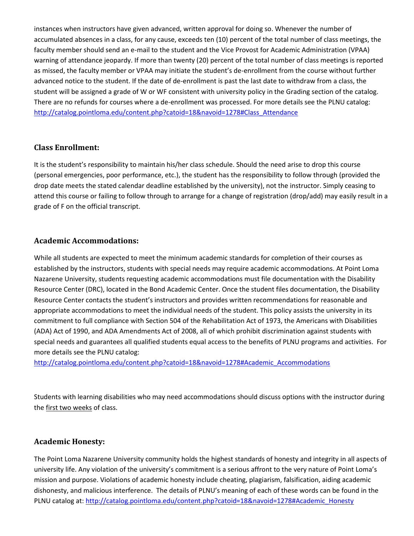instances when instructors have given advanced, written approval for doing so. Whenever the number of accumulated absences in a class, for any cause, exceeds ten (10) percent of the total number of class meetings, the faculty member should send an e-mail to the student and the Vice Provost for Academic Administration (VPAA) warning of attendance jeopardy. If more than twenty (20) percent of the total number of class meetings is reported as missed, the faculty member or VPAA may initiate the student's de-enrollment from the course without further advanced notice to the student. If the date of de-enrollment is past the last date to withdraw from a class, the student will be assigned a grade of W or WF consistent with university policy in the Grading section of the catalog. There are no refunds for courses where a de-enrollment was processed. For more details see the PLNU catalog: [http://catalog.pointloma.edu/content.php?catoid=18&navoid=1278#Class\\_Attendance](http://catalog.pointloma.edu/content.php?catoid=18&navoid=1278#Class_Attendance)

#### **Class Enrollment:**

It is the student's responsibility to maintain his/her class schedule. Should the need arise to drop this course (personal emergencies, poor performance, etc.), the student has the responsibility to follow through (provided the drop date meets the stated calendar deadline established by the university), not the instructor. Simply ceasing to attend this course or failing to follow through to arrange for a change of registration (drop/add) may easily result in a grade of F on the official transcript.

#### **Academic Accommodations:**

While all students are expected to meet the minimum academic standards for completion of their courses as established by the instructors, students with special needs may require academic accommodations. At Point Loma Nazarene University, students requesting academic accommodations must file documentation with the Disability Resource Center (DRC), located in the Bond Academic Center. Once the student files documentation, the Disability Resource Center contacts the student's instructors and provides written recommendations for reasonable and appropriate accommodations to meet the individual needs of the student. This policy assists the university in its commitment to full compliance with Section 504 of the Rehabilitation Act of 1973, the Americans with Disabilities (ADA) Act of 1990, and ADA Amendments Act of 2008, all of which prohibit discrimination against students with special needs and guarantees all qualified students equal access to the benefits of PLNU programs and activities. For more details see the PLNU catalog:

[http://catalog.pointloma.edu/content.php?catoid=18&navoid=1278#Academic\\_Accommodations](http://catalog.pointloma.edu/content.php?catoid=18&navoid=1278#Academic_Accommodations) 

Students with learning disabilities who may need accommodations should discuss options with the instructor during the first two weeks of class.

#### **Academic Honesty:**

The Point Loma Nazarene University community holds the highest standards of honesty and integrity in all aspects of university life. Any violation of the university's commitment is a serious affront to the very nature of Point Loma's mission and purpose. Violations of academic honesty include cheating, plagiarism, falsification, aiding academic dishonesty, and malicious interference. The details of PLNU's meaning of each of these words can be found in the PLNU catalog at[: http://catalog.pointloma.edu/content.php?catoid=18&navoid=1278#Academic\\_Honesty](http://catalog.pointloma.edu/content.php?catoid=18&navoid=1278#Academic_Honesty)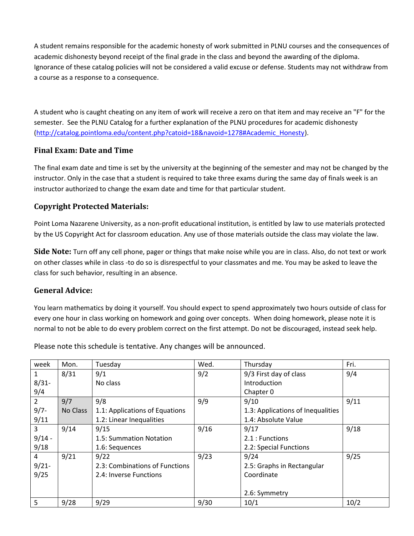A student remains responsible for the academic honesty of work submitted in PLNU courses and the consequences of academic dishonesty beyond receipt of the final grade in the class and beyond the awarding of the diploma. Ignorance of these catalog policies will not be considered a valid excuse or defense. Students may not withdraw from a course as a response to a consequence.

A student who is caught cheating on any item of work will receive a zero on that item and may receive an "F" for the semester. See the PLNU Catalog for a further explanation of the PLNU procedures for academic dishonesty [\(http://catalog.pointloma.edu/content.php?catoid=18&navoid=1278#Academic\\_Honesty\)](http://catalog.pointloma.edu/content.php?catoid=18&navoid=1278#Academic_Honesty).

## **Final Exam: Date and Time**

The final exam date and time is set by the university at the beginning of the semester and may not be changed by the instructor. Only in the case that a student is required to take three exams during the same day of finals week is an instructor authorized to change the exam date and time for that particular student.

## **Copyright Protected Materials:**

Point Loma Nazarene University, as a non-profit educational institution, is entitled by law to use materials protected by the US Copyright Act for classroom education. Any use of those materials outside the class may violate the law.

**Side Note:** Turn off any cell phone, pager or things that make noise while you are in class. Also, do not text or work on other classes while in class -to do so is disrespectful to your classmates and me. You may be asked to leave the class for such behavior, resulting in an absence.

## **General Advice:**

You learn mathematics by doing it yourself. You should expect to spend approximately two hours outside of class for every one hour in class working on homework and going over concepts. When doing homework, please note it is normal to not be able to do every problem correct on the first attempt. Do not be discouraged, instead seek help.

| week           | Mon.     | Tuesday                        | Wed. | Thursday                          | Fri. |
|----------------|----------|--------------------------------|------|-----------------------------------|------|
| $\mathbf{1}$   | 8/31     | 9/1                            | 9/2  | 9/3 First day of class            | 9/4  |
| $8/31 -$       |          | No class                       |      | Introduction                      |      |
| 9/4            |          |                                |      | Chapter 0                         |      |
| $\overline{2}$ | 9/7      | 9/8                            | 9/9  | 9/10                              | 9/11 |
| $9/7 -$        | No Class | 1.1: Applications of Equations |      | 1.3: Applications of Inequalities |      |
| 9/11           |          | 1.2: Linear Inequalities       |      | 1.4: Absolute Value               |      |
| $\overline{3}$ | 9/14     | 9/15                           | 9/16 | 9/17                              | 9/18 |
| $9/14 -$       |          | 1.5: Summation Notation        |      | 2.1 : Functions                   |      |
| 9/18           |          | 1.6: Sequences                 |      | 2.2: Special Functions            |      |
| $\overline{4}$ | 9/21     | 9/22                           | 9/23 | 9/24                              | 9/25 |
| $9/21 -$       |          | 2.3: Combinations of Functions |      | 2.5: Graphs in Rectangular        |      |
| 9/25           |          | 2.4: Inverse Functions         |      | Coordinate                        |      |
|                |          |                                |      |                                   |      |
|                |          |                                |      | 2.6: Symmetry                     |      |
| 5              | 9/28     | 9/29                           | 9/30 | 10/1                              | 10/2 |

Please note this schedule is tentative. Any changes will be announced.